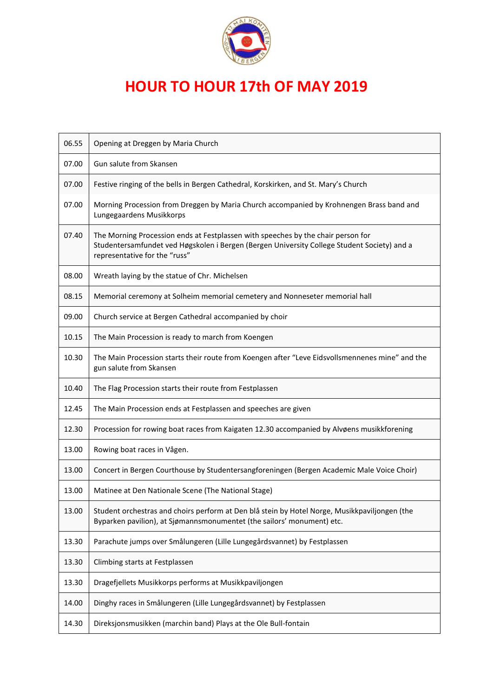

## **HOUR TO HOUR 17th OF MAY 2019**

| 06.55 | Opening at Dreggen by Maria Church                                                                                                                                                                               |
|-------|------------------------------------------------------------------------------------------------------------------------------------------------------------------------------------------------------------------|
| 07.00 | Gun salute from Skansen                                                                                                                                                                                          |
| 07.00 | Festive ringing of the bells in Bergen Cathedral, Korskirken, and St. Mary's Church                                                                                                                              |
| 07.00 | Morning Procession from Dreggen by Maria Church accompanied by Krohnengen Brass band and<br>Lungegaardens Musikkorps                                                                                             |
| 07.40 | The Morning Procession ends at Festplassen with speeches by the chair person for<br>Studentersamfundet ved Høgskolen i Bergen (Bergen University College Student Society) and a<br>representative for the "russ" |
| 08.00 | Wreath laying by the statue of Chr. Michelsen                                                                                                                                                                    |
| 08.15 | Memorial ceremony at Solheim memorial cemetery and Nonneseter memorial hall                                                                                                                                      |
| 09.00 | Church service at Bergen Cathedral accompanied by choir                                                                                                                                                          |
| 10.15 | The Main Procession is ready to march from Koengen                                                                                                                                                               |
| 10.30 | The Main Procession starts their route from Koengen after "Leve Eidsvollsmennenes mine" and the<br>gun salute from Skansen                                                                                       |
| 10.40 | The Flag Procession starts their route from Festplassen                                                                                                                                                          |
| 12.45 | The Main Procession ends at Festplassen and speeches are given                                                                                                                                                   |
| 12.30 | Procession for rowing boat races from Kaigaten 12.30 accompanied by Alvøens musikkforening                                                                                                                       |
| 13.00 | Rowing boat races in Vågen.                                                                                                                                                                                      |
| 13.00 | Concert in Bergen Courthouse by Studentersangforeningen (Bergen Academic Male Voice Choir)                                                                                                                       |
| 13.00 | Matinee at Den Nationale Scene (The National Stage)                                                                                                                                                              |
| 13.00 | Student orchestras and choirs perform at Den blå stein by Hotel Norge, Musikkpaviljongen (the<br>Byparken pavilion), at Sjømannsmonumentet (the sailors' monument) etc.                                          |
| 13.30 | Parachute jumps over Smålungeren (Lille Lungegårdsvannet) by Festplassen                                                                                                                                         |
| 13.30 | Climbing starts at Festplassen                                                                                                                                                                                   |
| 13.30 | Dragefjellets Musikkorps performs at Musikkpaviljongen                                                                                                                                                           |
| 14.00 | Dinghy races in Smålungeren (Lille Lungegårdsvannet) by Festplassen                                                                                                                                              |
| 14.30 | Direksjonsmusikken (marchin band) Plays at the Ole Bull-fontain                                                                                                                                                  |